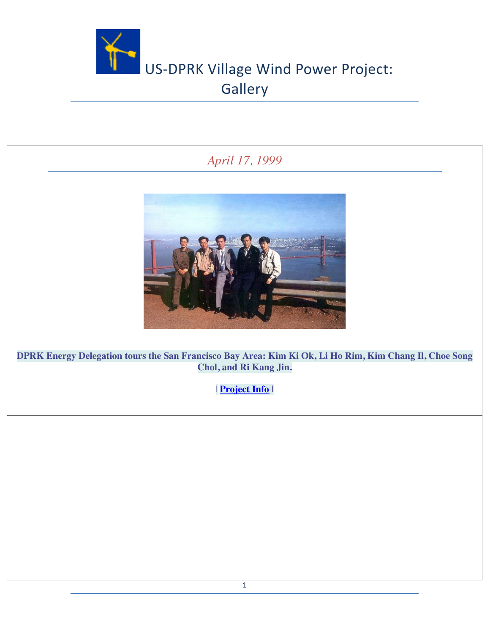

## *April 17, 1999*



**DPRK Energy Delegation tours the San Francisco Bay Area: Kim Ki Ok, Li Ho Rim, Kim Chang Il, Choe Song Chol, and Ri Kang Jin.**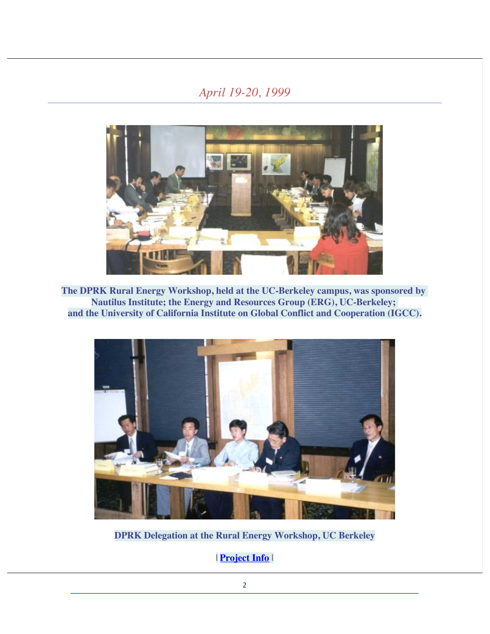## *April 19-20, 1999*



**The DPRK Rural Energy Workshop, held at the UC-Berkeley campus, was sponsored by Nautilus Institute; the Energy and Resources Group (ERG), UC-Berkeley; and the University of California Institute on Global Conflict and Cooperation (IGCC).**



**DPRK Delegation at the Rural Energy Workshop, UC Berkeley**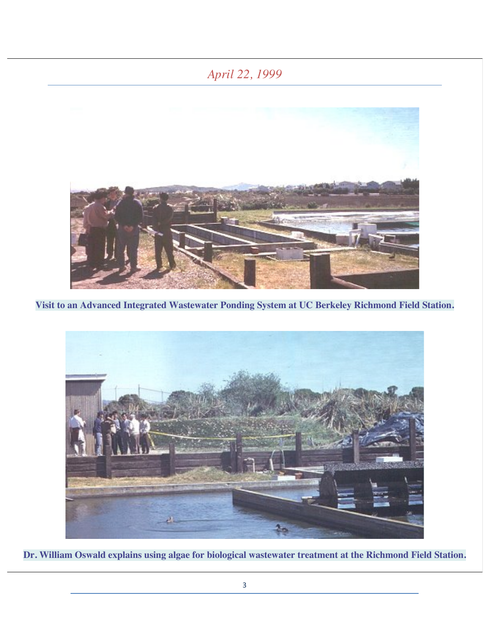## *April 22, 1999*



**Visit to an Advanced Integrated Wastewater Ponding System at UC Berkeley Richmond Field Station.**



**Dr. William Oswald explains using algae for biological wastewater treatment at the Richmond Field Station.**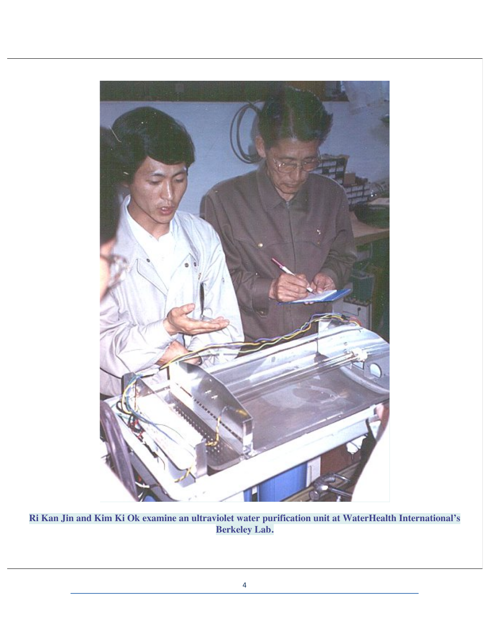

**Ri Kan Jin and Kim Ki Ok examine an ultraviolet water purification unit at WaterHealth International's Berkeley Lab.**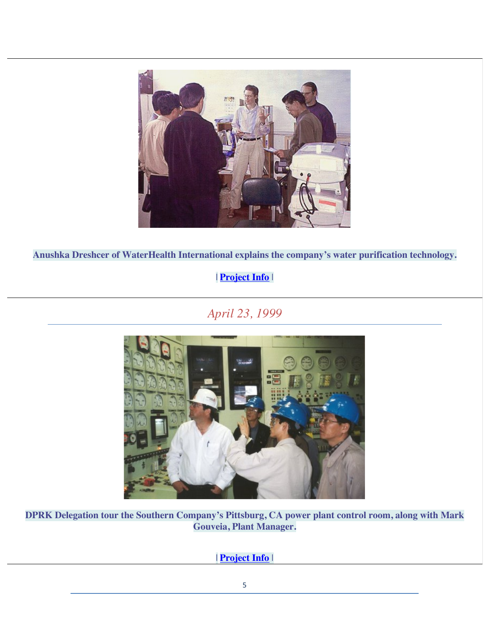

**Anushka Dreshcer of WaterHealth International explains the company's water purification technology.**

#### | **Project Info** |

*April 23, 1999*



**DPRK Delegation tour the Southern Company's Pittsburg, CA power plant control room, along with Mark Gouveia, Plant Manager.**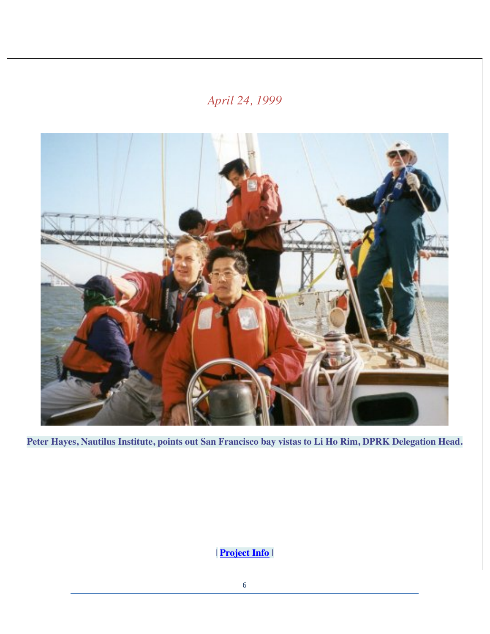# *April 24, 1999*



**Peter Hayes, Nautilus Institute, points out San Francisco bay vistas to Li Ho Rim, DPRK Delegation Head.**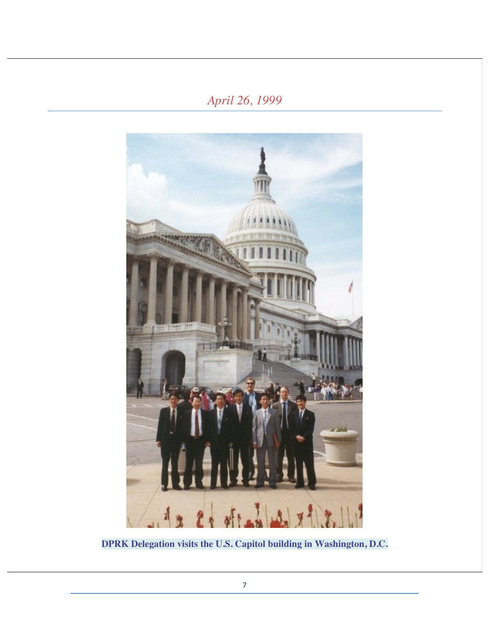## *April 26, 1999*



**DPRK Delegation visits the U.S. Capitol building in Washington, D.C.**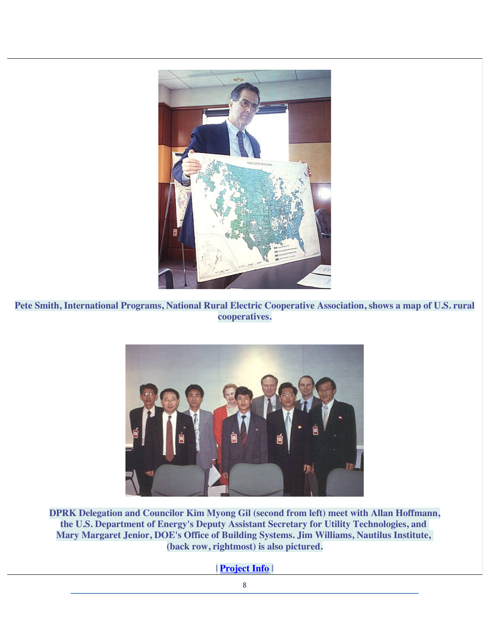

**Pete Smith, International Programs, National Rural Electric Cooperative Association, shows a map of U.S. rural cooperatives.**



**DPRK Delegation and Councilor Kim Myong Gil (second from left) meet with Allan Hoffmann, the U.S. Department of Energy's Deputy Assistant Secretary for Utility Technologies, and Mary Margaret Jenior, DOE's Office of Building Systems. Jim Williams, Nautilus Institute, (back row, rightmost) is also pictured.**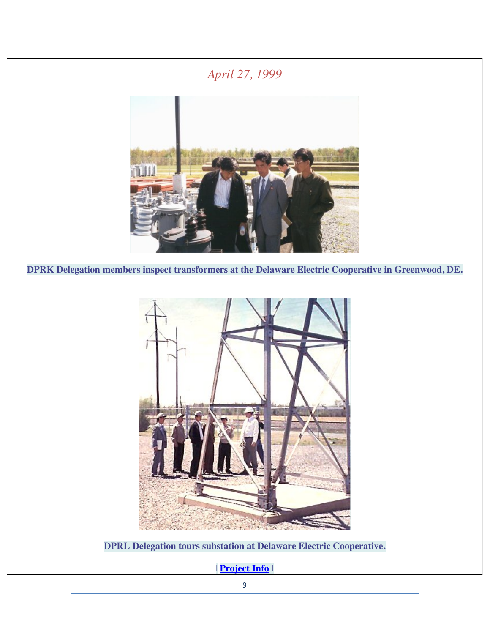## *April 27, 1999*



**DPRK Delegation members inspect transformers at the Delaware Electric Cooperative in Greenwood, DE.**



**DPRL Delegation tours substation at Delaware Electric Cooperative.**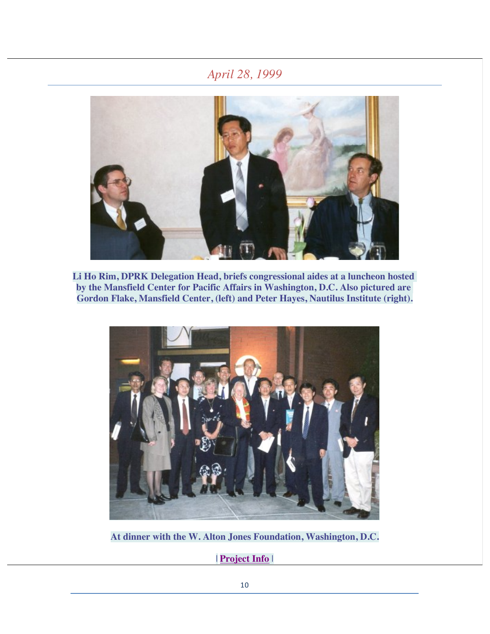#### *April 28, 1999*



**Li Ho Rim, DPRK Delegation Head, briefs congressional aides at a luncheon hosted by the Mansfield Center for Pacific Affairs in Washington, D.C. Also pictured are Gordon Flake, Mansfield Center, (left) and Peter Hayes, Nautilus Institute (right).**



**At dinner with the W. Alton Jones Foundation, Washington, D.C.**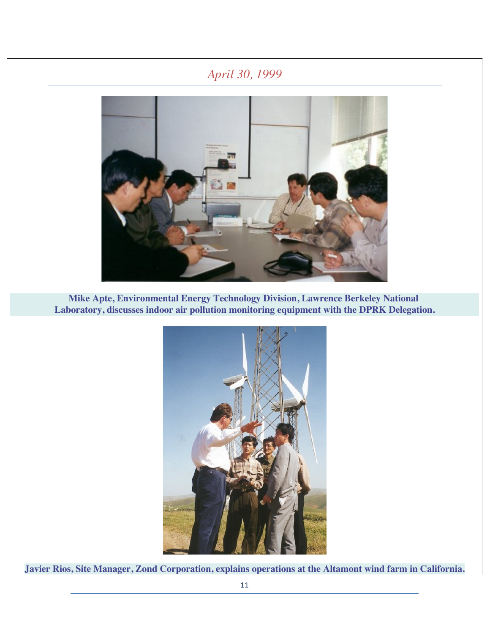## *April 30, 1999*



**Mike Apte, Environmental Energy Technology Division, Lawrence Berkeley National Laboratory, discusses indoor air pollution monitoring equipment with the DPRK Delegation.**



**Javier Rios, Site Manager, Zond Corporation, explains operations at the Altamont wind farm in California.**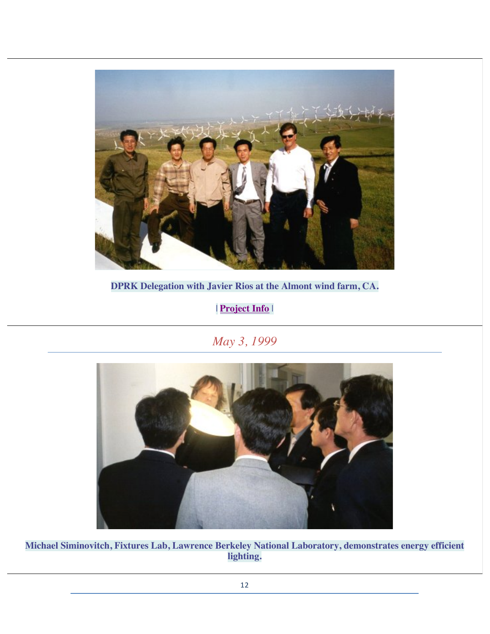

**DPRK Delegation with Javier Rios at the Almont wind farm, CA.**

| **Project Info** |

*May 3, 1999*



**Michael Siminovitch, Fixtures Lab, Lawrence Berkeley National Laboratory, demonstrates energy efficient lighting.**